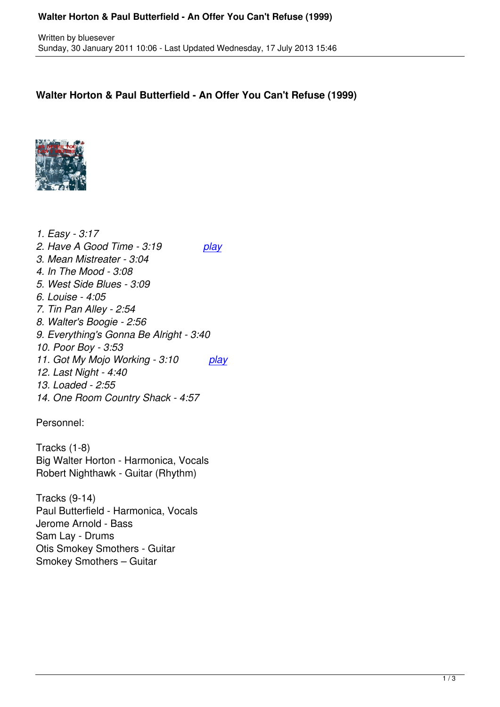## **Walter Horton & Paul Butterfield - An Offer You Can't Refuse (1999)**



*1. Easy - 3:17 2. Have A Good Time - 3:19 play 3. Mean Mistreater - 3:04 4. In The Mood - 3:08 5. West Side Blues - 3:09 6. Louise - 4:05 7. Tin Pan Alley - 2:54 8. Walter's Boogie - 2:56 9. Everything's Gonna Be Alright - 3:40 10. Poor Boy - 3:53 11. Got My Mojo Working - 3:10 play 12. Last Night - 4:40 13. Loaded - 2:55 14. One Room Country Shack - 4:57*

Personnel:

Tracks (1-8) Big Walter Horton - Harmonica, Vocals Robert Nighthawk - Guitar (Rhythm)

Tracks (9-14) Paul Butterfield - Harmonica, Vocals Jerome Arnold - Bass Sam Lay - Drums Otis Smokey Smothers - Guitar Smokey Smothers – Guitar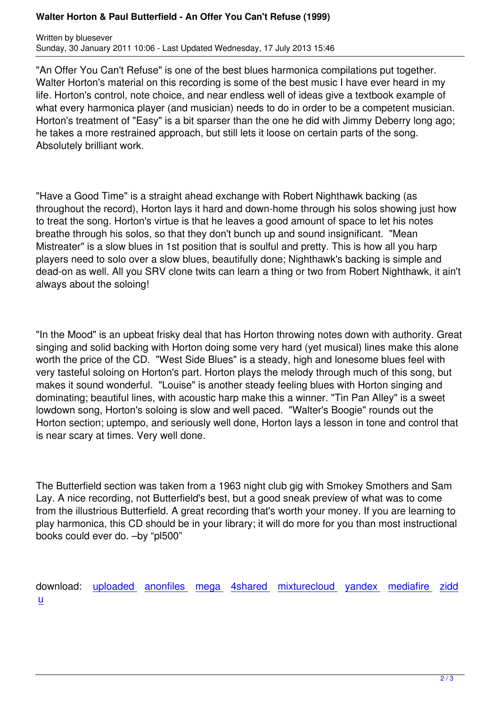"An Offer You Can't Refuse" is one of the best blues harmonica compilations put together. Walter Horton's material on this recording is some of the best music I have ever heard in my life. Horton's control, note choice, and near endless well of ideas give a textbook example of what every harmonica player (and musician) needs to do in order to be a competent musician. Horton's treatment of "Easy" is a bit sparser than the one he did with Jimmy Deberry long ago; he takes a more restrained approach, but still lets it loose on certain parts of the song. Absolutely brilliant work.

"Have a Good Time" is a straight ahead exchange with Robert Nighthawk backing (as throughout the record), Horton lays it hard and down-home through his solos showing just how to treat the song. Horton's virtue is that he leaves a good amount of space to let his notes breathe through his solos, so that they don't bunch up and sound insignificant. "Mean Mistreater" is a slow blues in 1st position that is soulful and pretty. This is how all you harp players need to solo over a slow blues, beautifully done; Nighthawk's backing is simple and dead-on as well. All you SRV clone twits can learn a thing or two from Robert Nighthawk, it ain't always about the soloing!

"In the Mood" is an upbeat frisky deal that has Horton throwing notes down with authority. Great singing and solid backing with Horton doing some very hard (yet musical) lines make this alone worth the price of the CD. "West Side Blues" is a steady, high and lonesome blues feel with very tasteful soloing on Horton's part. Horton plays the melody through much of this song, but makes it sound wonderful. "Louise" is another steady feeling blues with Horton singing and dominating; beautiful lines, with acoustic harp make this a winner. "Tin Pan Alley" is a sweet lowdown song, Horton's soloing is slow and well paced. "Walter's Boogie" rounds out the Horton section; uptempo, and seriously well done, Horton lays a lesson in tone and control that is near scary at times. Very well done.

The Butterfield section was taken from a 1963 night club gig with Smokey Smothers and Sam Lay. A nice recording, not Butterfield's best, but a good sneak preview of what was to come from the illustrious Butterfield. A great recording that's worth your money. If you are learning to play harmonica, this CD should be in your library; it will do more for you than most instructional books could ever do. –by "pl500"

download: uploaded anonfiles mega 4shared mixturecloud yandex mediafire zidd u